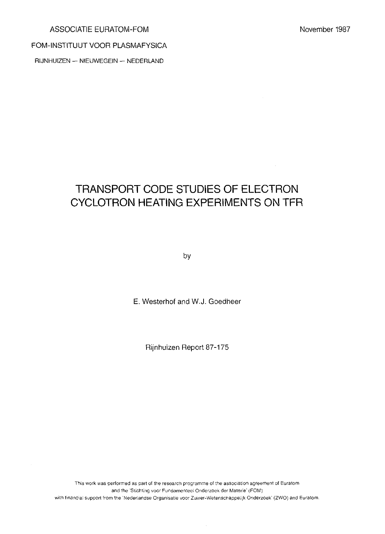# ASSOCIATIE EURATOM-FOM November 1987

FOM-INSTITUUT VOOR PLASMAFYSICA

RIJNHUIZEN - NIEUWEGEIN - NEDERLAND

# **TRANSPORT CODE STUDIES OF ELECTRON CYCLOTRON HEATING EXPERIMENTS ON TFR**

by

E. Westerhof and W.J. Goedheer

Rijnhuizen Report 87-175

This work was performed as part of the research programme of the association agreement of Euratom and the 'Stichting voor Fundamenteel Onderzoek der Materie' (FOM)

with financial support from the 'Nederlandse Organisatie voor Zuiver-Wetenschappelijk Onderzoek' (ZWO) and Euratom.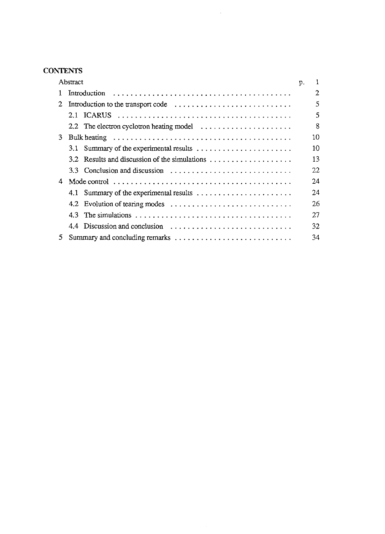# **CONTENTS**

| Abstract |                                                                                        |  |                |
|----------|----------------------------------------------------------------------------------------|--|----------------|
|          |                                                                                        |  | $\overline{2}$ |
| 2        | Introduction to the transport code $\dots \dots \dots \dots \dots \dots \dots \dots$   |  | 5              |
|          |                                                                                        |  | 5              |
|          | 2.2 The electron cyclotron heating model $\dots \dots \dots \dots \dots \dots$         |  | 8              |
| 3        |                                                                                        |  | 10             |
|          | 3.1 Summary of the experimental results $\dots \dots \dots \dots \dots \dots \dots$    |  | 10             |
|          | 3.2 Results and discussion of the simulations $\dots \dots \dots \dots \dots$          |  | 13             |
|          | 3.3 Conclusion and discussion $\ldots, \ldots, \ldots, \ldots, \ldots, \ldots, \ldots$ |  | 22             |
| 4        |                                                                                        |  | 24             |
|          |                                                                                        |  | 24             |
|          |                                                                                        |  | 26             |
|          | 43                                                                                     |  | 27             |
|          | 4.4 Discussion and conclusion                                                          |  | 32             |
| 5.       |                                                                                        |  | 34             |

 $\mathcal{A}^{\mathcal{A}}$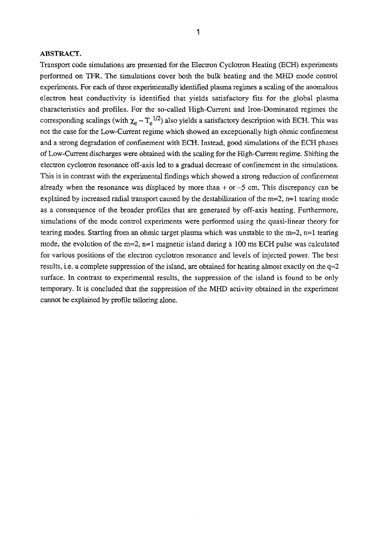## **ABSTRACT.**

Transport code simulations are presented for the Electron Cyclotron Heating (ECH) experiments performed on TFR. The simulations cover both the bulk heating and the MHD mode control experiments. For each of three experimentally identified plasma regimes a scaling of the anomalous electron heat conductivity is identified that yields satisfactory fits for the global plasma characteristics and profiles. For the so-called High-Current and Iron-Dominated regimes the corresponding scalings (with  $\chi_e \sim T_e^{1/2}$ ) also yields a satisfactory description with ECH. This was not the case for the Low-Current regime which showed an exceptionally high ohmic confinement and a strong degradation of confinement with ECH. Instead, good simulations of the ECH phases of Low-Current discharges were obtained with the scaling for the High-Current regime. Shifting the electron cyclotron resonance off-axis led to a gradual decrease of confinement in the simulations. This is in contrast with the experimental findings which showed a strong reduction of confinement already when the resonance was displaced by more than  $+$  or  $-5$  cm. This discrepancy can be explained by increased radial transport caused by the destabilization of the  $m=2$ ,  $n=1$  tearing mode as a consequence of the broader profiles that are generated by off-axis heating. Furthermore, simulations of the mode control experiments were performed using the quasi-linear theory for tearing modes. Starting from an ohmic target plasma which was unstable to the  $m=2$ ,  $n=1$  tearing mode, the evolution of the m=2,  $n=1$  magnetic island during a 100 ms ECH pulse was calculated for various positions of the electron cyclotron resonance and levels of injected power. The best results, i.e. a complete suppression of the island, are obtained for heating almost exactly on the q=2 surface. In contrast to experimental results, the suppression of the island is found to be only temporary. It is concluded that the suppression of the MHD activity obtained in the experiment cannot be explained by profile tailoring alone.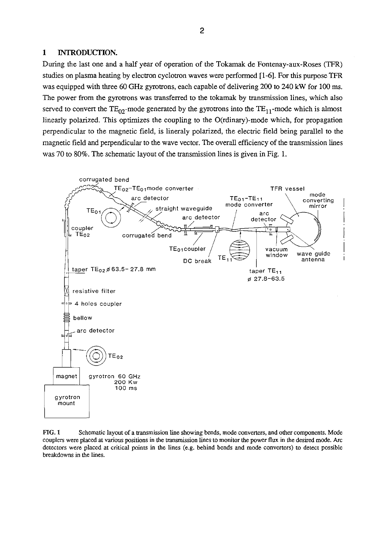#### **1 INTRODUCTION.**

During the last one and a half year of operation of the Tokamak de Fontenay-aux-Roses (TFR) studies on plasma heating by electron cyclotron waves were performed [l-6]. For this purpose TFR was equipped with three 60 GHz gyrotrons, each capable of delivering 200 to 240 kW for 100 ms. The power from the gyrotrons was transferred to the tokamak by transmission lines, which also served to convert the TE<sub>02</sub>-mode generated by the gyrotrons into the TE<sub>11</sub>-mode which is almost linearly polarized. This optimizes the coupling to the O(rdinary)-mode which, for propagation perpendicular to the magnetic field, is lineraly polarized, the electric field being parallel to the magnetic field and perpendicular to the wave vector. The overall efficiency of the transmission lines was 70 to 80%. The schematic layout of the transmission lines is given in Fig. 1.



F1G. 1 Schematic layout of a transmission line showing bends, mode converters, and other components. Mode couplers were placed at various positions in the transmission lines to monitor the power flux in the desired mode. Arc detectors were placed at critical points in the lines (e.g. behind bends and mode converters) to detect possible breakdowns in the lines.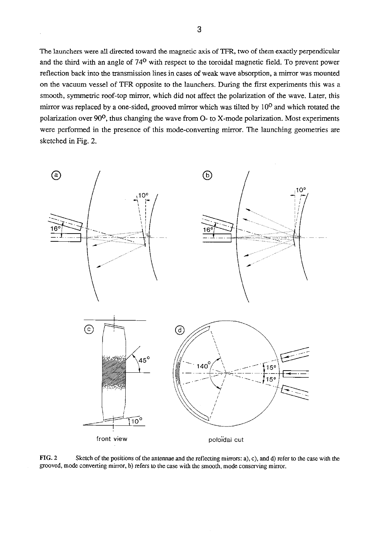The launchers were all directed toward the magnetic axis of TFR, two of them exactly perpendicular and the third with an angle of 74° with respect to the toroidal magnetic field. To prevent power reflection back into the transmission lines in cases of weak wave absorption, a mirror was mounted on the vacuum vessel of TFR opposite to the launchers. During the first experiments this was a smooth, symmetric roof-top mirror, which did not affect the polarization of the wave. Later, this mirror was replaced by a one-sided, grooved mirror which was tilted by 10° and which rotated the polarization over 90°, thus changing the wave from 0- to X-mode polarization. Most experiments were performed in the presence of this mode-converting mirror. The launching geometries ate sketched in Fig. 2.



FIG. 2 Sketch of the positions of the antennae and the reflecting mirrors: a), c), and d) refer to the case with the grooved, mode converting mirror, b) refers to the case with the smooth, mode conserving mirror.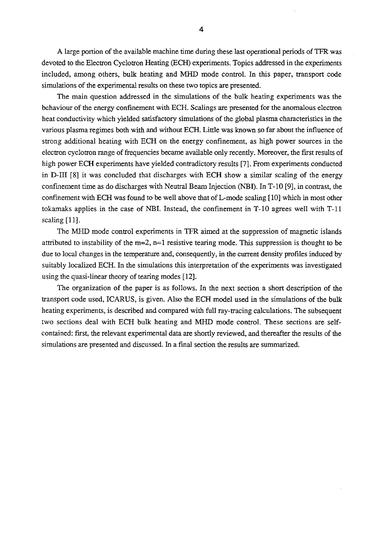A large portion of the available machine time during these last operational periods of TFR was devoted to the Electron Cyclotron Heating (ECH) experiments. Topics addressed in the experiments included, among others, bulk heating and MHD mode control. In this paper, transport code simulations of the experimental results on these two topics are presented.

The main question addressed in the simulations of the bulk heating experiments was the behaviour of the energy confinement with ECH. Scalings are presented for the anomalous electron heat conductivity which yielded satisfactory simulations of the global plasma characteristics in the various plasma regimes both with and without ECH. Little was known so far about the influence of strong additional heating with ECH on the energy confinement, as high power sources in the electron cyclotron range of frequencies became available only recently. Moreover, the first results of high power ECH experiments have yielded contradictory results [7]. From experiments conducted in D-III [8] it was concluded that discharges with ECH show a similar scaling of the energy confinement time as do discharges with Neutral Beam Injection (NBI). In T-10 [9], in contrast, the confinement with ECH was found to be well above that of L-mode scaling [10] which in most other tokamaks applies in the case of NBI. Instead, the confinement in T-10 agrees well with T-11 scaling [11].

The MHD mode control experiments in TFR aimed at the suppression of magnetic islands attributed to instability of the  $m=2$ ,  $n=1$  resistive tearing mode. This suppression is thought to be due to local changes in the temperature and, consequently, in the current density profiles induced by suitably localized ECH. In the simulations this interpretation of the experiments was investigated using the quasi-linear theory of tearing modes [12].

The organization of the paper is as follows. In the next section a short description of the transport code used, ICARUS, is given. Also the ECH model used in the simulations of the bulk heating experiments, is described and compared with full ray-tracing calculations. The subsequent two sections deal with ECH bulk heating and MHD mode control. These sections are selfcontained: first, the relevant experimental data are shortly reviewed, and thereafter the results of the simulations are presented and discussed. In a final section the results are summarized.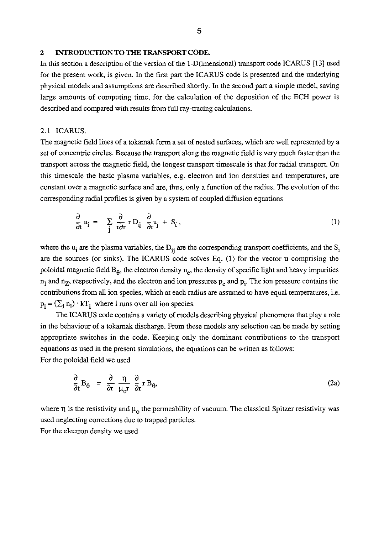#### **2 INTRODUCTION TO THE TRANSPORT CODE.**

In this section a description of the version of the 1-D(imensional) transport code ICARUS [13] used for the present work, is given. In the first part the ICARUS code is presented and the underlying physical models and assumptions are described shortly. In the second part a simple model, saving large amounts of computing time, for the calculation of the deposition of the ECH power is described and compared with results from full ray-tracing calculations.

#### 2.1 ICARUS.

The magnetic field lines of a tokamak form a set of nested surfaces, which are well represented by a set of concentric circles. Because the transport along the magnetic field is very much faster than the transport across the magnetic field, the longest transport timescale is that for radial transport. On this timescale the basic plasma variables, e.g. electron and ion densities and temperatures, are constant over a magnetic surface and are, thus, only a function of the radius. The evolution of the corresponding radial profiles is given by a system of coupled diffusion equations

$$
\frac{\partial}{\partial t} u_i = \sum_{j} \frac{\partial}{r \partial r} r D_{ij} \frac{\partial}{\partial r} u_j + S_i,
$$
\n(1)

where the  $u_i$  are the plasma variables, the  $D_{ii}$  are the corresponding transport coefficients, and the  $S_i$ are the sources (or sinks). The ICARUS code solves Eq. (1) for the vector **u** comprising the poloidal magnetic field  $B_{\theta}$ , the electron density  $n_e$ , the density of specific light and heavy impurities  $n_1$  and  $n_2$ , respectively, and the electron and ion pressures  $p_e$  and  $p_i$ . The ion pressure contains the contributions from all ion species, which at each radius are assumed to have equal temperatures, i.e.  $p_i = (\sum_1 n_i) \cdot kT_i$  where I runs over all ion species.

The ICARUS code contains a variety of models describing physical phenomena that play a role in the behaviour of a tokamak discharge. From these models any selection can be made by setting appropriate switches in the code. Keeping only the dominant contributions to the transport equations as used in the present simulations, the equations can be written as follows: For the poloidal field we used

$$
\frac{\partial}{\partial t} B_{\theta} = \frac{\partial}{\partial r} \frac{\eta}{\mu_0 r} \frac{\partial}{\partial r} r B_{\theta}, \qquad (2a)
$$

where  $\eta$  is the resistivity and  $\mu_0$  the permeability of vacuum. The classical Spitzer resistivity was used neglecting corrections due to trapped particles.

For the electron density we used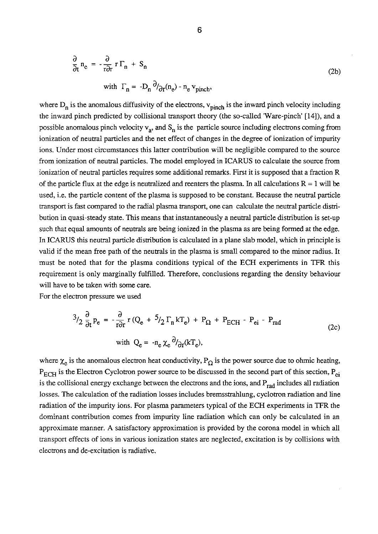$$
\frac{\partial}{\partial t} n_e = -\frac{\partial}{r \partial r} r \Gamma_n + S_n
$$
\n
$$
\text{with } \Gamma_n = -D_n \partial / \partial r(n_e) - n_e \, v_{\text{pinch}},
$$
\n(2b)

where  $D_n$  is the anomalous diffusivity of the electrons,  $v_{pinch}$  is the inward pinch velocity including the inward pinch predicted by collisional transport theory (the so-called 'Ware-pinch' [14]), and a possible anomalous pinch velocity  $v_a$ , and  $S_n$  is the particle source including electrons coming from ionization of neutral particles and the net effect of changes in the degree of ionization of impurity ions. Under most circumstances this latter contribution will be negligible compared to the source from ionization of neutral particles. The model employed in ICARUS to calculate the source from ionization of neutral particles requires some additional remarks. First it is supposed that a fraction R of the particle flux at the edge is neutralized and reenters the plasma. In all calculations  $R = 1$  will be used, i.e. the particle content of the plasma is supposed to be constant. Because the neutral particle transport is fast compared to the radial plasma transport, one can calculate the neutral particle distribution in quasi-steady state. This means that instantaneously a neutral particle distribution is set-up such that equal amounts of neutrals are being ionized in the plasma as are being formed at the edge. In ICARUS this neutral particle distribution is calculated in a plane slab model, which in principle is valid if the mean free path of the neutrals in the plasma is small compared to the minor radius. It must be noted that for the plasma conditions typical of the ECH experiments in TFR this requirement is only marginally fulfilled. Therefore, conclusions regarding the density behaviour will have to be taken with some care.

For the electron pressure we used

$$
{}^{3}/_{2} \frac{\partial}{\partial t} P_{e} = -\frac{\partial}{r\partial r} r (Q_{e} + {}^{5}/_{2} \Gamma_{n} kT_{e}) + P_{\Omega} + P_{ECH} - P_{ei} - P_{rad}
$$
\n
$$
\text{with } Q_{e} = -n_{e} \chi_{e} {}^{3}/_{\partial r} (kT_{e}), \qquad (2c)
$$

where  $\chi_e$  is the anomalous electron heat conductivity,  $P_{\Omega}$  is the power source due to ohmic heating,  $P_{ECH}$  is the Electron Cyclotron power source to be discussed in the second part of this section,  $P_{ei}$ is the collisional energy exchange between the electrons and the ions, and  $P_{rad}$  includes all radiation losses. The calculation of the radiation losses includes bremsstrahlung, cyclotron radiation and line radiation of the impurity ions. For plasma parameters typical of the ECH experiments in TFR the dominant contribution comes from impurity line radiation which can only be calculated in an approximate manner. A satisfactory approximation is provided by the corona model in which all transport effects of ions in various ionization states are neglected, excitation is by collisions with electrons and de-excitation is radiative.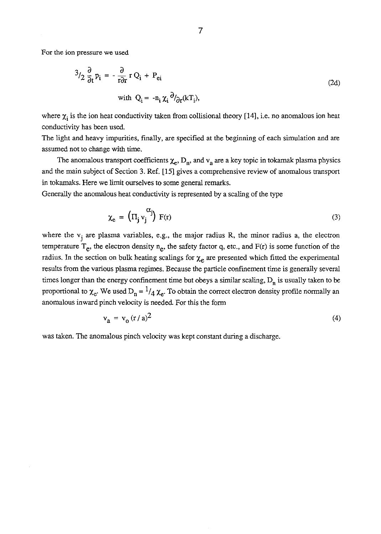For the ion pressure we used

$$
{}^{3}/_{2} \frac{\partial}{\partial t} p_{i} = -\frac{\partial}{r \partial r} r Q_{i} + P_{ei}
$$
  
with  $Q_{i} = -n_{i} \chi_{i} \partial/\partial r (kT_{i}),$  (2d)

where  $\chi_i$  is the ion heat conductivity taken from collisional theory [14], i.e. no anomalous ion heat conductivity has been used.

The light and heavy impurities, finally, are specified at the beginning of each simulation and are assumed not to change with time.

The anomalous transport coefficients  $\chi_e$ ,  $D_n$ , and  $v_a$  are a key topic in tokamak plasma physics and the main subject of Section 3. Ref. [15] gives a comprehensive review of anomalous transport in tokarnaks. Here we limit ourselves to some general remarks.

Generally the anomalous heat conductivity is represented by a scaling of the type

$$
\chi_{\rm e} = \left(\Pi_{\rm j} v_{\rm j}^{\alpha} \right) \, F(r) \tag{3}
$$

where the  $v_i$  are plasma variables, e.g., the major radius R, the minor radius a, the electron temperature  $T_e$ , the electron density  $n_e$ , the safety factor q, etc., and  $F(r)$  is some function of the radius. In the section on bulk heating scalings for  $\chi_e$  are presented which fitted the experimental results from the various plasma regimes. Because the particle confinement time is generally several times longer than the energy confinement time but obeys a similar scaling,  $D_n$  is usually taken to be proportional to  $\chi_e$ . We used  $D_n = \frac{1}{4} \chi_e$ . To obtain the correct electron density profile normally an anomalous inward pinch velocity is needed. For this the form

$$
v_a = v_o (r/a)^2 \tag{4}
$$

was taken. The anomalous pinch velocity was kept constant during a discharge.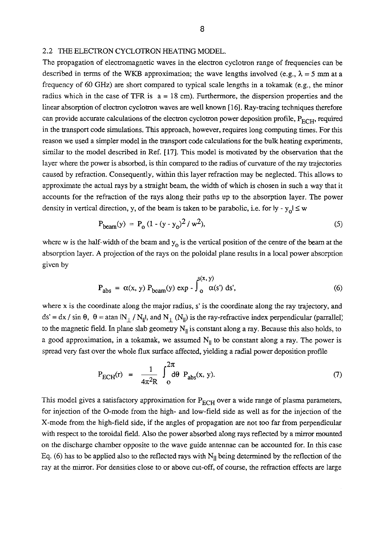### 2.2 THE ELECTRON CYCLOTRON HEATING MODEL.

The propagation of electromagnetic waves in the electron cyclotron range of frequencies can be described in terms of the WKB approximation; the wave lengths involved (e.g.,  $\lambda = 5$  mm at a frequency of 60 GHz) are short compared to typical scale lengths in a tokamak (e.g., the minor radius which in the case of TFR is  $a = 18$  cm). Furthermore, the dispersion properties and the linear absorption of electron cyclotron waves are well known [16]. Ray-tracing techniques therefore can provide accurate calculations of the electron cyclotron power deposition profile,  $P_{ECH}$ , required in the transport code simulations. This approach, however, requires long computing times. For this reason we used a simpler model in the transport code calculations for the bulk heating experiments, similar to the model described in Ref. [17]. This model is motivated by the observation that the layer where the power is absorbed, is thin compared to the radius of curvature of the ray trajectories caused by refraction. Consequently, within this layer refraction may be neglected. This allows to approximate the actual rays by a straight beam, the width of which is chosen in such a way that it accounts for the refraction of the rays along their paths up to the absorption layer. The power density in vertical direction, y, of the beam is taken to be parabolic, i.e. for  $|y - y_0| \leq w$ 

$$
P_{\text{beam}}(y) = P_0 (1 - (y - y_0)^2 / w^2),
$$
 (5)

where w is the half-width of the beam and  $y_0$  is the vertical position of the centre of the beam at the absorption layer. A projection of the rays on the poloidal plane results in a local power absorption given by

$$
P_{\text{abs}} = \alpha(x, y) P_{\text{beam}}(y) \exp \left(-\int_{0}^{s(x, y)} \alpha(s') \, ds'\right),\tag{6}
$$

where x is the coordinate along the major radius, s' is the coordinate along the ray trajectory, and  $ds' = dx / \sin \theta$ ,  $\theta = \tan \left(N_{\parallel} / N_{\parallel} \right)$ , and  $N_{\perp} (N_{\parallel})$  is the ray-refractive index perpendicular (parrallel) to the magnetic field. In plane slab geometry  $N_{\parallel}$  is constant along a ray. Because this also holds, to a good approximation, in a tokamak, we assumed  $N_{\parallel}$  to be constant along a ray. The power is spread very fast over the whole flux surface affected, yielding a radial power deposition profile

$$
P_{ECH}(r) = \frac{1}{4\pi^2 R} \int_{0}^{2\pi} d\theta \ P_{abs}(x, y). \tag{7}
$$

This model gives a satisfactory approximation for  $P_{ECH}$  over a wide range of plasma parameters, for injection of the 0-mode from the high- and low-field side as well as for the injection of the X-mode from the high-field side, if the angles of propagation are not too far from perpendicular with respect to the toroidal field. Also the power absorbed along rays reflected by a mirror mounted on the discharge chamber opposite to the wave guide antennae can be accounted for. In this case Eq. (6) has to be applied also to the reflected rays with  $N_{11}$  being determined by the reflection of the ray at the mirror. For densities close to or above cut-off, of course, the refraction effects are large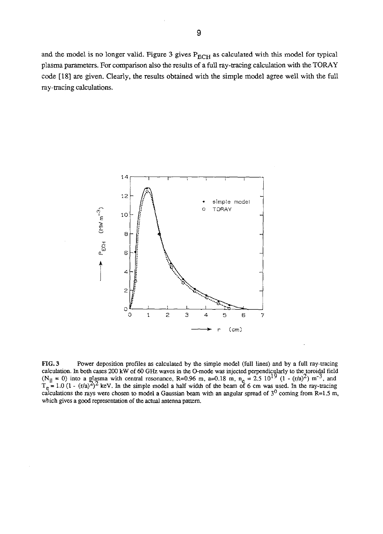and the model is no longer valid. Figure 3 gives P<sub>ECH</sub> as calculated with this model for typical plasma parameters. For comparison also the results of a full ray-tracing calculation with the TORAY code [18] are given. Clearly, the results obtained with the simple model agree well with the full ray-tracing calculations.



FIG. 3 Power deposition profiles as calculated by the simple model (full lines) and by a full ray-tracing calculation. In both cases 200 kW of 60 GHz waves in the 0-mode was injected perpendicularly to the toroidal field (N<sub>11</sub> = 0) into a plasma with central resonance, R=0.96 m, a=0.18 m, n<sub>e</sub> = 2.5 10<sup>19</sup> (1 - (r/a)<sup>2</sup>) m<sup>-3</sup>, and  $T_e = 1.0 (1 - (r/a)^2)^2$  keV. In the simple model a half width of the beam of 6 cm was used. In the ray-tracing calculations the rays were chosen to model a Gaussian beam with an angular spread of  $3^{\circ}$  coming from R=1.5 m, which gives a good representation of the actual antenna pattern.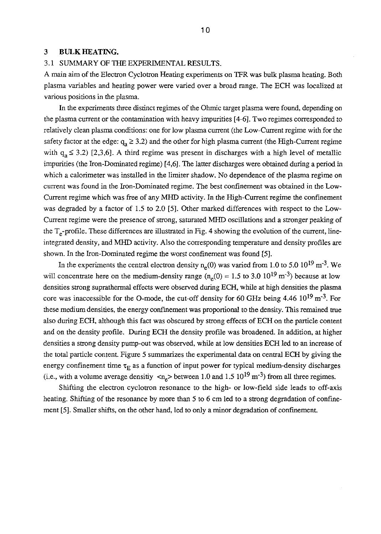#### 3 **BULK HEATING.**

### 3.1 SUMMARY OF THE EXPERIMENTAL RESULTS.

A main aim of the Electron Cyclotron Heating experiments on TFR was bulk plasma heating. Both plasma variables and heating power were varied over a broad range. The ECH was localized at various positions in the plasma.

In the experiments three distinct regimes of the Ohmic target plasma were found, depending on the plasma current or the contamination with heavy impurities [ 4-6]. Two regimes corresponded to relatively clean plasma conditions: one for low plasma current (the Low-Current regime with for the safety factor at the edge:  $q_a \geq 3.2$ ) and the other for high plasma current (the High-Current regime with  $q_a \leq 3.2$ ) [2,3,6]. A third regime was present in discharges with a high level of metallic impurities (the Iron-Dominated regime) [ 4,6]. The latter discharges were obtained during a period in which a calorimeter was installed in the limiter shadow. No dependence of the plasma regime on current was found in the Iron-Dominated regime. The best confinement was obtained in the Low-Current regime which was free of any MHD activity. In the High-Current regime the confinement was degraded by a factor of 1.5 to 2.0 [5]. Other marked differences with respect to the Low-Current regime were the presence of strong, saturated MHD oscillations and a stronger peaking of the  $T_e$ -profile. These differences are illustrated in Fig. 4 showing the evolution of the current, lineintegrated density, and MHD activity. Also the corresponding temperature and density profiles are shown. In the Iron-Dominated regime the worst confinement was found [5].

In the experiments the central electron density  $n_e(0)$  was varied from 1.0 to 5.0 10<sup>19</sup> m<sup>-3</sup>. We will concentrate here on the medium-density range ( $n_e(0) = 1.5$  to 3.0  $10^{19}$  m<sup>-3</sup>) because at low densities strong suprathermal effects were observed during ECH, while at high densities the plasma core was inaccessible for the O-mode, the cut-off density for 60 GHz being 4.46  $10^{19}$  m<sup>-3</sup>. For these medium densities, the energy confinement was proportional to the density. This remained true also during ECH, although this fact was obscured by strong effects of ECH on the particle content and on the density profile. During ECH the density profile was broadened. In addition, at higher densities a strong density pump-out was observed, while at low densities ECH led to an increase of the total particle content. Figure *5* summarizes the experimental data on central ECH by giving the energy confinement time  $\tau_E$  as a function of input power for typical medium-density discharges (i.e., with a volume average densitiy  $\langle n_e \rangle$  between 1.0 and 1.5 10<sup>19</sup> m<sup>-3</sup>) from all three regimes.

Shifting the electron cyclotron resonance to the high- or low-field side leads to off-axis heating. Shifting of the resonance by more than *5* to 6 cm led to a strong degradation of confinement [5]. Smaller shifts, on the other hand, led to only a minor degradation of confinement.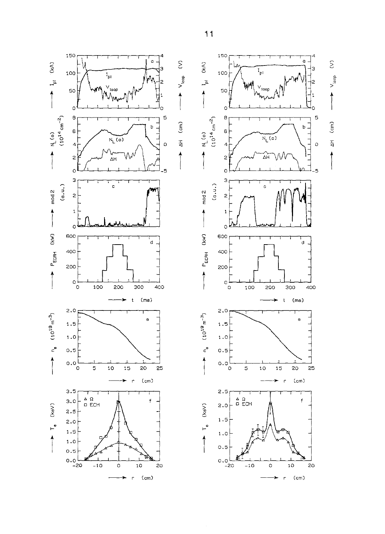



**11** 

**1**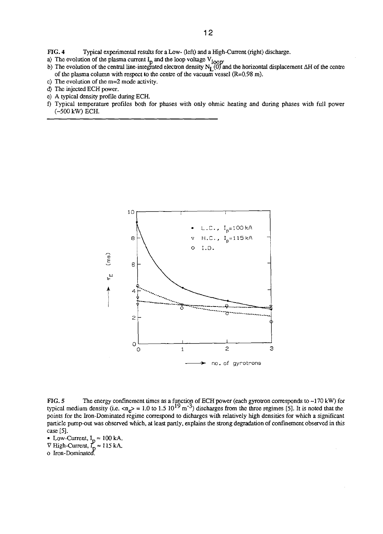- F1G. **4** Typical experimental results for a Low- (left) and a High-Current (right) discharge.
- a) The evolution of the plasma current  $I<sub>p</sub>$  and the loop voltage  $V<sub>loop</sub>$ .
- b) The evolution of the central line-integrated electron density N<sub>L</sub> (0) and the horizontal displacement  $\Delta H$  of the centre of the plasma column with respect to the centre of the vacuum vessel (R=0.98 m).
- c) The evolution of the m=2 mode activity.
- d) The injected ECH power.
- e) A typical density profile during ECH.
- f) Typical temperature profiles both for phases with only ohmic heating and during phases with full power (-500 kW) ECH.



F1G. *5* The energy confmement times as a function of ECH power (each gyrotron corresponds to -170 kW) for typical medium density (i.e.  $\langle n_{e} \rangle = 1.0$  to 1.5 10<sup>19</sup> m<sup>-3</sup>) discharges from the three regimes [5]. It is noted that the points for the Iron-Dominated regime correspond to dicharges with relatively high densities for which a significant particle pump-Out was observed which, at least partly, explains the strong degradation of confinement observed in this case [5].

• Low-Current,  $I_p \approx 100$  kA.  $\nabla$  High-Current,  $\Gamma$   $\approx$  115 kA.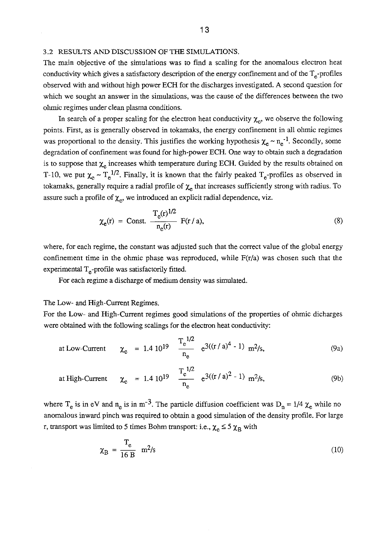#### 3.2 RESULTS AND DISCUSSION OF THE SIMULATIONS.

The main objective of the simulations was to find a scaling for the anomalous electron heat conductivity which gives a satisfactory description of the energy confinement and of the  $T_e$ -profiles observed with and without high power ECH for the discharges investigated. A second question for which we sought an answer in the simulations, was the cause of the differences between the two ohmic regimes under clean plasma conditions.

In search of a proper scaling for the electron heat conductivity  $\chi_e$ , we observe the following points. First, as is generally observed in tokamaks, the energy confinement in all ohmic regimes was proportional to the density. This justifies the working hypothesis  $\chi_e \sim n_e^{-1}$ . Secondly, some degradation of confinement was found for high-power ECH. One way to obtain such a degradation is to suppose that  $\chi_e$  increases whith temperature during ECH. Guided by the results obtained on T-10, we put  $\chi_e \sim T_e^{1/2}$ . Finally, it is known that the fairly peaked  $T_e$ -profiles as observed in tokamaks, generally require a radial profile of  $\chi_e$  that increases sufficiently strong with radius. To assure such a profile of  $\chi_e$ , we introduced an explicit radial dependence, viz.

$$
\chi_{e}(r) = \text{Const.} \frac{T_{e}(r)^{1/2}}{n_{e}(r)} \ F(r/a), \tag{8}
$$

where, for each regime, the constant was adjusted such that the correct value of the global energy confinement time in the ohmic phase was reproduced, while F(r/a) was chosen such that the experimental  $T_e$ -profile was satisfactorily fitted.

For each regime a discharge of medium density was simulated.

## The Low- and High-Current Regimes.

For the Low- and High-Current regimes good simulations of the properties of ohmic dicharges were obtained with the following scalings for the electron heat conductivity:

at Low-Current 
$$
\chi_e = 1.4 \, 10^{19} \frac{T_e^{1/2}}{n_e} e^{3((r/a)^4 - 1)} m^2/s,
$$
 (9a)

at High-Current 
$$
\chi_e = 1.4 \, 10^{19} \frac{T_e^{1/2}}{n_e} e^{3((r/a)^2 - 1)} \, m^2/s,
$$
 (9b)

where T<sub>e</sub> is in eV and n<sub>e</sub> is in m<sup>-3</sup>. The particle diffusion coefficient was D<sub>n</sub> = 1/4  $\chi_e$  while no anomalous inward pinch was required to obtain a good simulation of the density profile. For large r, transport was limited to 5 times Bohm transport: i.e.,  $\chi_e \leq 5 \chi_B$  with

$$
\chi_{\rm B} = \frac{T_{\rm e}}{16 \,\rm B} \quad \text{m}^2/\text{s} \tag{10}
$$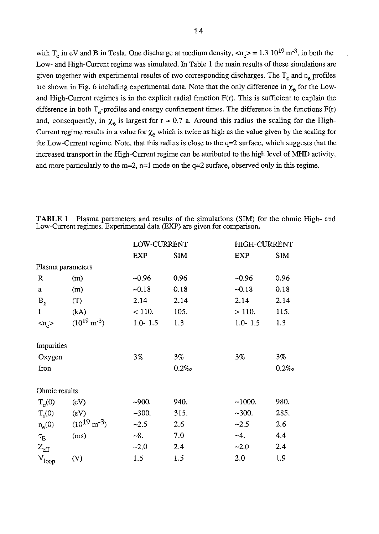with T<sub>e</sub> in eV and B in Tesla. One discharge at medium density,  $\langle n_e \rangle = 1.3 \times 10^{19} \text{ m}^{-3}$ , in both the Low- and High-Current regime was simulated. In Table 1 the main results of these simulations are given together with experimental results of two corresponding discharges. The  $T_e$  and  $n_e$  profiles are shown in Fig. 6 including experimental data. Note that the only difference in  $\chi_e$  for the Lowand High-Current regimes is in the explicit radial function F(r). This is sufficient to explain the difference in both  $T_e$ -profiles and energy confinement times. The difference in the functions  $F(r)$ and, consequently, in  $\chi_e$  is largest for  $r \approx 0.7$  a. Around this radius the scaling for the High-Current regime results in a value for  $\chi_e$  which is twice as high as the value given by the scaling for the Low-Current regime. Note, that this radius is close to the q=2 surface, which suggests that the increased transport in the High-Current regime can be attributed to the high level of MHD activity, and more particularly to the m=2, n=1 mode on the  $q=2$  surface, observed only in this regime.

|                       |                            | LOW-CURRENT |            | <b>HIGH-CURRENT</b> |            |
|-----------------------|----------------------------|-------------|------------|---------------------|------------|
|                       |                            | EXP         | <b>SIM</b> | <b>EXP</b>          | <b>SIM</b> |
|                       | Plasma parameters          |             |            |                     |            |
| R                     | (m)                        | $-0.96$     | 0.96       | $-0.96$             | 0.96       |
| a                     | (m)                        | $-0.18$     | 0.18       | $-0.18$             | 0.18       |
| $B_{z}$               | (T)                        | 2.14        | 2.14       | 2.14                | 2.14       |
| I                     | (kA)                       | < 110.      | 105.       | > 110.              | 115.       |
| $\langle n_e \rangle$ | $(10^{19} \text{ m}^{-3})$ | $1.0 - 1.5$ | 1.3        | $1.0 - 1.5$         | 1.3        |
| Impurities            |                            |             |            |                     |            |
| Oxygen                |                            | $3\%$       | $3\%$      | $3\%$               | $3\%$      |
| Iron                  |                            |             | 0.2%       |                     | $0.2\%$    |
| Ohmic results         |                            |             |            |                     |            |
| $T_e(0)$              | (eV)                       | $-900.$     | 940.       | ~1000.              | 980.       |
| $T_i(0)$              | (eV)                       | $-300.$     | 315.       | $-300.$             | 285.       |
| $n_e(0)$              | $(10^{19} \text{ m}^{-3})$ | $-2.5$      | 2.6        | $-2.5$              | 2.6        |
| $\tau_{\rm E}$        | (ms)                       | $-8.$       | 7.0        | $-4.$               | 4.4        |
| $Z_{\text{eff}}$      |                            | $-2.0$      | 2.4        | $-2.0$              | 2.4        |
| $V_{loop}$            | (V)                        | 1.5         | 1.5        | 2.0                 | 1.9        |

**TABLE 1** Plasma parameters and results of the simulations (SIM) for the ohmic High- and Low-Current regimes. Experimental data (EXP) are given for comparison.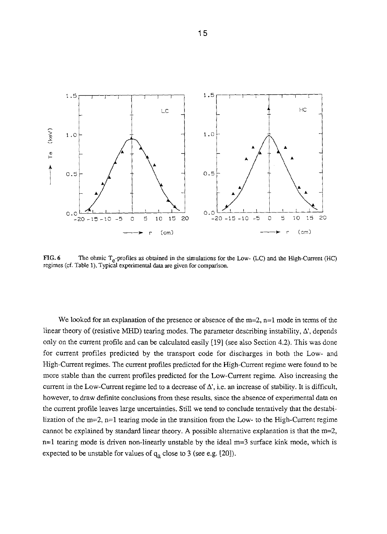

**FIG. 6** The ohmic  $T_e$ -profiles as obtained in the simulations for the Low- (LC) and the High-Current (HC) regimes (cf. Table 1). Typical experimental data are given for comparison.

We looked for an explanation of the presence or absence of the  $m=2$ ,  $n=1$  mode in terms of the linear theory of (resistive MHD) tearing modes. The parameter describing instability,  $\Delta'$ , depends only on the current profile and can be calculated easily [19] (see also Section 4.2). This was done for current profiles predicted by the transport code for discharges in both the Low- and High-Current regimes. The current profiles predicted for the High-Current regime were found to be more stable than the current profiles predicted for the Low-Current regime. Also increasing the current in the Low-Current regime led to a decrease of  $\Delta'$ , i.e. an increase of stability. It is difficult, however, to draw definite conclusions from these results, since the absence of experimental data on the current profile leaves large uncertainties. Still we tend to conclude tentatively that the destabilization of the m=2,  $n=1$  tearing mode in the transition from the Low- to the High-Current regime cannot be explained by standard linear theory. A possible alternative explanation is that the m=2, n=l tearing mode is driven non-linearly unstable by the ideal m=3 surface kink mode, which is expected to be unstable for values of  $q_a$  close to 3 (see e.g. [20]).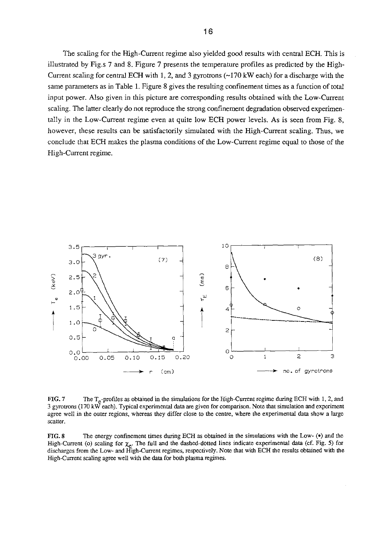The scaling for the High-Current regime also yielded good results with central ECH. This is illustrated by Fig.s 7 and 8. Figure 7 presents the temperature profiles as predicted by the High-Current scaling for central ECH with 1, 2, and 3 gyrotrons (~170 kW each) for a discharge with the same parameters as in Table 1. Figure 8 gives the resulting confinement times as a function of total input power. Also given in this picture are corresponding results obtained with the Low-Current scaling. The latter clearly do not reproduce the strong confinement degradation observed experimentally in the Low-Current regime even at quite low ECH power levels. As is seen from Fig. 8, however, these results can be satisfactorily simulated with the High-Current scaling. Thus, we conclude that ECH makes the plasma conditions of the Low-Current regime equal to those of the High-Current regime.



FIG. 7 The  $T_e$ -profiles as obtained in the simulations for the High-Current regime during ECH with 1, 2, and 3 gyrotrons (I 70 kW each). Typical experimental data are given for comparison. Note that simulation and experiment agree well in the outer regions, whereas they differ close to the centre, where the experimental data show a large **scatter.** 

FIG. 8 The energy confinement times during ECH as obtained in the simulations with the Low-(•) and the High-Current (o) scaling for  $\chi_e$ . The full and the dashed-dotted lines indicate experimental data (cf. Fig. 5) for discharges from the Low- and High-Current regimes, respectively. Note that with ECH the results obtained with the High-Current scaling agree well with the data for both plasma regimes.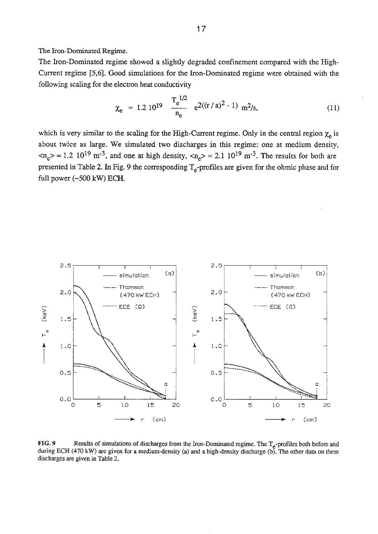The Iron-Dominated Regime.

The Iron-Dominated regime showed a slightly degraded confinement compared with the High-Current regime [5,6]. Good simulations for the Iron-Dominated regime were obtained with the following scaling for the electron heat conductivity

$$
\chi_{\rm e} = 1.2 \; 10^{19} \quad \frac{T_{\rm e}^{1/2}}{n_{\rm e}} \; {\rm e}^{2((r/a)^2 - 1)} \; {\rm m}^2/s,\tag{11}
$$

which is very similar to the scaling for the High-Current regime. Only in the central region  $\chi_e$  is about twice as large. We simulated two discharges in this regime: one at medium density,  $\langle n_e \rangle$  = 1.2 10<sup>19</sup> m<sup>-3</sup>, and one at high density,  $\langle n_e \rangle$  = 2.1 10<sup>19</sup> m<sup>-3</sup>. The results for both are presented in Table 2. In Fig. 9 the corresponding  $T_e$ -profiles are given for the ohmic phase and for full power  $(-500 \text{ kW})$  ECH.



FIG. 9 Results of simulations of discharges from the Iron-Dominated regime. The  $T_e$ -profiles both before and during ECH (470 kW) are given for a medium-density (a) and a high-density discharge (b). The other data on these discharges are given in Table 2.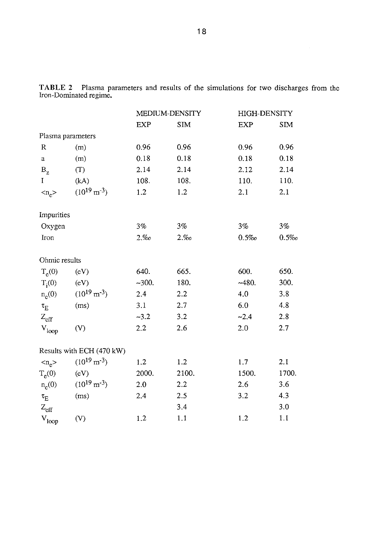|                         |                            | MEDIUM-DENSITY |            | <b>HIGH-DENSITY</b> |            |
|-------------------------|----------------------------|----------------|------------|---------------------|------------|
|                         |                            | <b>EXP</b>     | <b>SIM</b> | <b>EXP</b>          | <b>SIM</b> |
| Plasma parameters       |                            |                |            |                     |            |
| $\mathbf R$             | (m)                        | 0.96           | 0.96       | 0.96                | 0.96       |
| a                       | (m)                        | 0.18           | 0.18       | 0.18                | 0.18       |
| $B_{\gamma}$            | (T)                        | 2.14           | 2.14       | 2.12                | 2.14       |
| $\mathbf I$             | (kA)                       | 108.           | 108.       | 110.                | 110.       |
| $\langle n_{e} \rangle$ | $(10^{19} \text{ m}^{-3})$ | 1.2            | 1.2        | 2.1                 | 2.1        |
| Impurities              |                            |                |            |                     |            |
| Oxygen                  |                            | 3%             | 3%         | 3%                  | 3%         |
| Iron                    |                            | $2. \%$        | $2. \%$ o  | 0.5%                | 0.5%       |
| Ohmic results           |                            |                |            |                     |            |
| $T_c(0)$                | (eV)                       | 640.           | 665.       | 600.                | 650.       |
| $T_i(0)$                | (eV)                       | $-300.$        | 180.       | ~1480.              | 300.       |
| $n_e(0)$                | $(10^{19} \text{ m}^{-3})$ | 2.4            | 2.2        | 4.0                 | 3.8        |
| $\tau_{\rm E}$          | (ms)                       | 3.1            | 2.7        | 6.0                 | 4.8        |
| $Z_{\rm eff}$           |                            | $-3.2$         | 3.2        | $-2.4$              | 2.8        |
| $V_{loop}$              | (V)                        | 2.2            | 2.6        | 2.0                 | 2.7        |
|                         | Results with ECH (470 kW)  |                |            |                     |            |
| $\langle n_e \rangle$   | $(10^{19} \text{ m}^{-3})$ | 1.2            | 1.2        | 1.7                 | 2.1        |
| $T_e(0)$                | (eV)                       | 2000.          | 2100.      | 1500.               | 1700.      |
| $n_e(0)$                | $(10^{19} \text{ m}^{-3})$ | 2.0            | 2.2        | 2.6                 | 3.6        |
| $\tau_{\rm E}$          | (ms)                       | 2.4            | 2.5        | 3.2                 | 4.3        |
| $\rm Z_{eff}$           |                            |                | 3.4        |                     | 3.0        |
| $V_{loop}$              | (V)                        | 1.2            | 1.1        | 1.2                 | 1.1        |

**TABLE 2** Plasma parameters and results of the simulations for two discharges from the Iron-Dominated regime.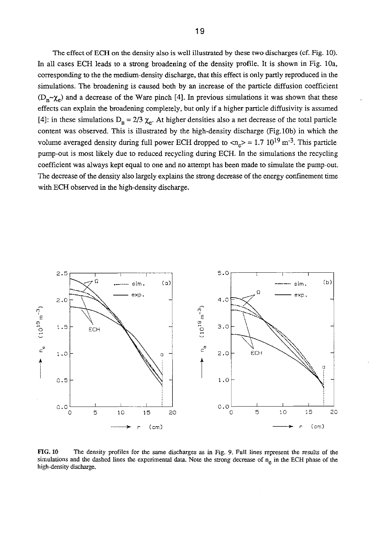The effect of ECH on the density also is well illustrated by these two discharges (cf. Fig. 10). In all cases ECH leads to a strong broadening of the density profile. It is shown in Fig. 10a, corresponding to the the medium-density discharge, that this effect is only partly reproduced in the simulations. The broadening is caused both by an increase of the particle diffusion coefficient  $(D_n - \chi_e)$  and a decrease of the Ware pinch [4]. In previous simulations it was shown that these effects can explain the broadening completely, but only if a higher particle diffusivity is assumed [4]: in these simulations  $D_n = 2/3 \chi_e$ . At higher densities also a net decrease of the total particle content was observed. This is illustrated by the high-density discharge (Fig.lOb) in which the volume averaged density during full power ECH dropped to  $\langle n_e \rangle = 1.7 \, 10^{19} \, \text{m}^{-3}$ . This particle pump-out is most likely due to reduced recycling during ECH. In the simulations the recycling coefficient was always kept equal to one and no attempt has been made to simulate the pump-out. The decrease of the density also largely explains the strong decrease of the energy confinement time with ECH observed in the high-density discharge.



F1G. 10 The density profiles for the same discharges as in Fig. 9. Full lines represent the results of the simulations and the dashed lines the experimental data. Note the strong decrease of  $n_e$  in the ECH phase of the high-density discharge.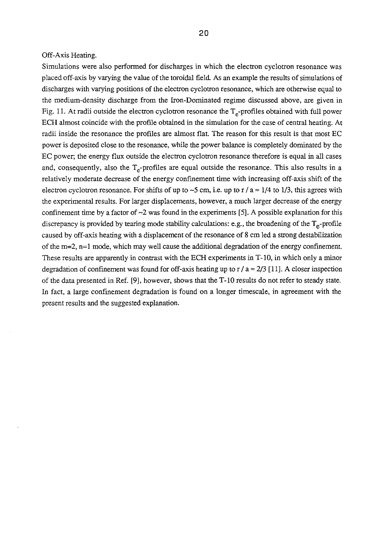#### Off-Axis Heating.

Simulations were also performed for discharges in which the electron cyclotron resonance was placed off-axis by varying the value of the toroidal field. As an example the results of simulations of discharges with varying positions of the electron cyclotron resonance, which are otherwise equal to the medium-density discharge from the Iron-Dominated regime discussed above, are given in Fig. 11. At radii outside the electron cyclotron resonance the  $T_{e}$ -profiles obtained with full power ECH almost coincide with the profile obtained in the simulation for the case of central heating. At radii inside the resonance the profiles are almost flat. The reason for this result is that most EC power is deposited close to the resonance, while the power balance is completely dominated by the EC power; the energy flux outside the electron cyclotron resonance therefore is equal in all cases and, consequently, also the  $T_e$ -profiles are equal outside the resonance. This also results in a relatively moderate decrease of the energy confinement time with increasing off-axis shift of the electron cyclotron resonance. For shifts of up to  $-5$  cm, i.e. up to  $r/a \approx 1/4$  to 1/3, this agrees with the experimental results. For larger displacements, however, a much larger decrease of the energy confinement time by a factor of  $\sim$ 2 was found in the experiments [5]. A possible explanation for this discrepancy is provided by tearing mode stability calculations: e.g., the broadening of the  $T_e$ -profile caused by off-axis heating with a displacement of the resonance of 8 cm led a strong destabilization of the  $m=2$ ,  $n=1$  mode, which may well cause the additional degradation of the energy confinement. These results are apparently in contrast with the ECH experiments in T-10, in which only a minor degradation of confinement was found for off-axis heating up to  $r/a \approx 2/3$  [11]. A closer inspection of the data presented in Ref. [9], however, shows that the T-10 results do not refer to steady state. In fact, a large confinement degradation is found on a longer timescale, in agreement with the present results and the suggested explanation.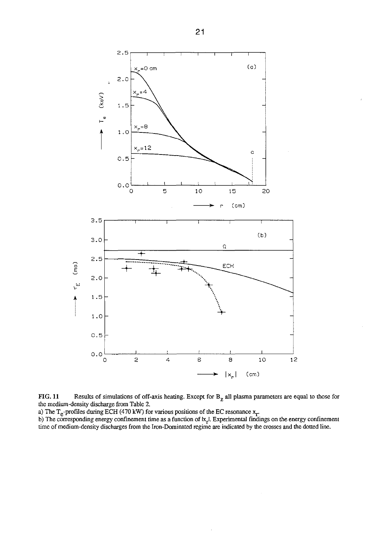



a) The  $T_e$ -profiles during ECH (470 kW) for various positions of the EC resonance  $x_r$ .

b) The corresponding energy confinement time as a function of  $k<sub>r</sub>$ . Experimental findings on the energy confinement time of medium-density discharges from the Iron-Dominated regime are indicated by the crosses and the dotted line.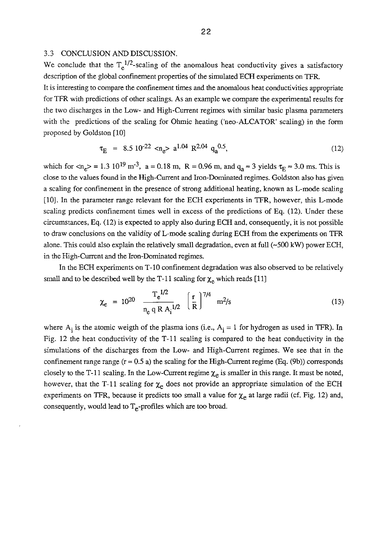#### 3.3 CONCLUSION AND DISCUSSION.

We conclude that the  $T_e^{1/2}$ -scaling of the anomalous heat conductivity gives a satisfactory description of the global confinement properties of the simulated ECH experiments on TFR.

It is interesting to compare the confinement times and the anomalous heat conductivities appropriate for TFR with predictions of other scalings. As an example we compare the experimental results for the two discharges in the Low- and High-Current regimes with similar basic plasma parameters with the predictions of the scaling for Ohmic heating ('neo-ALCATOR' scaling) in the form proposed by Goldston [10]

$$
\tau_{\rm E} = 8.5 \, 10^{-22} \, \text{cm}^{-2} \, \text{a}^{1.04} \, \text{R}^{2.04} \, \text{q}_a^{0.5},\tag{12}
$$

which for  $\langle n_e \rangle = 1.3 \times 10^{19} \text{ m}^3$ , a = 0.18 m, R = 0.96 m, and  $q_a \approx 3$  yields  $\tau_E \approx 3.0$  ms. This is close to the values found in the High-Current and Iron-Dominated regimes. Goldston also has given a scaling for confinement in the presence of strong additional heating, known as L-mode scaling [IO]. In the parameter range relevant for the ECH experiments in TFR, however, this L-mode scaling predicts confinement times well in excess of the predictions of Eq. (12). Under these circumstances, Eq. (12) is expected to apply also during ECH and, consequently, it is not possible to draw conclusions on the validity of L-mode scaling during ECH from the experiments on TFR alone. This could also explain the relatively small degradation, even at full  $(\sim 500 \text{ kW})$  power ECH, in the High-Current and the Iron-Dominated regimes.

In the ECH experiments on T-10 confinement degradation was also observed to be relatively small and to be described well by the T-11 scaling for  $\chi_e$  which reads [11]

$$
\chi_{e} = 10^{20} \frac{T_{e}^{1/2}}{n_{e} q R A_{i}^{1/2}} \left[\frac{r}{R}\right]^{7/4} m^{2}/s
$$
 (13)

where  $A_i$  is the atomic weigth of the plasma ions (i.e.,  $A_i = 1$  for hydrogen as used in TFR). In Fig. 12 the heat conductivity of the T-11 scaling is compared to the heat conductivity in the simulations of the discharges from the Low- and High-Current regimes. We see that in the confinement range range ( $r \approx 0.5$  a) the scaling for the High-Current regime (Eq. (9b)) corresponds closely to the T-11 scaling. In the Low-Current regime  $\chi_e$  is smaller in this range. It must be noted, however, that the T-11 scaling for  $\chi_e$  does not provide an appropriate simulation of the ECH experiments on TFR, because it predicts too small a value for  $\chi_e$  at large radii (cf. Fig. 12) and, consequently, would lead to  $T_e$ -profiles which are too broad.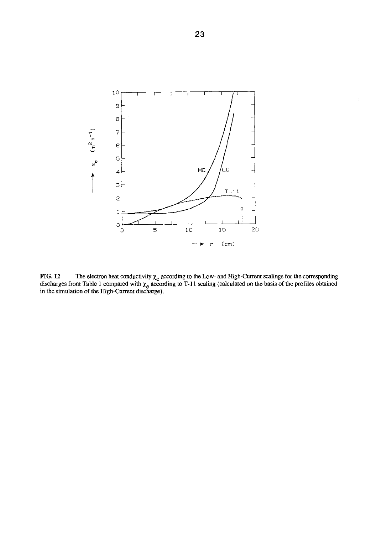

**FIG. 12** The electron heat conductivity  $\chi_e$  according to the Low- and High-Current scalings for the corresponding discharges from Table 1 compared with  $\chi_e$  according to T-11 scaling (calculated on the basis of the profiles obtained in the simulation of the High-Current discharge).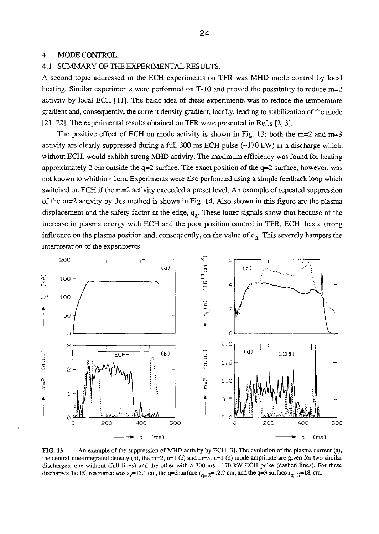#### **4 MODE CONTROL.**

### 4.1 SUMMARY OF THE EXPERIMENTAL RESULTS.

A second topic addressed in the ECH experiments on TFR was MHD mode control by local heating. Similar experiments were performed on T-10 and proved the possibility to reduce m=2 activity by local ECH [11]. The basic idea of these experiments was to reduce the temperature gradient and, consequently, the current density gradient, locally, leading to stabilization of the mode [21, 22]. The experimental results obtained on TFR were presented in Ref.s [2, 3].

The positive effect of ECH on mode activity is shown in Fig. 13: both the  $m=2$  and  $m=3$ activity are clearly suppressed during a full 300 ms ECH pulse  $(-170 \text{ kW})$  in a discharge which, without ECH, would exhibit strong MHD activity. The maximum efficiency was found for heating approximately 2 cm outside the  $q=2$  surface. The exact position of the  $q=2$  surface, however, was not known to whithin ~1cm. Experiments were also performed using a simple feedback loop which switched on ECH if the m=2 activity exceeded a preset level. An example of repeated suppression of the m=2 activity by this method is shown in Fig. 14. Also shown in this figure are the plasma displacement and the safety factor at the edge,  $q_a$ . These latter signals show that because of the increase in plasma energy with ECH and the poor position control in TFR, ECH has a strong influence on the plasma position and, consequently, on the value of  $q_a$ . This severely hampers the interpretation of the experiments.



FIG. 13 An example of the suppression of MHD activity by ECH [3]. The evolution of the plasma current (a), the central line-integrated density (b), the m=2, n=1 (c) and m=3, n=1 (d) mode amplitude are given for two similar discharges, one without (full lines) and the other with a 300 ms, 170 kW ECH pulse (dashed lines). For these discharges the EC resonance was  $x_r=15.1$  cm, the q=2 surface  $r_{q=2}=12.7$  cm, and the q=3 surface  $r_{q=3}=18$ . cm.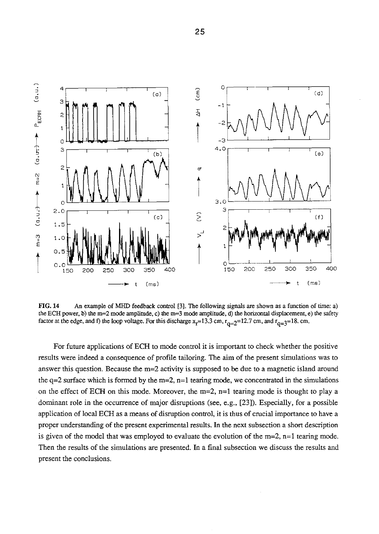

**FIG.14** An example of MHD feedback control [3]. The following signals are shown as a function of time: a) the ECH power, b) the m=2 mode amplirude, c) the m=3 mode amplitude, d) the horizontal displacement, e) the safety factor at the edge, and f) the loop voltage. For this discharge  $x_r=13.3$  cm,  $r_{q=2}=12.7$  cm, and  $r_{q=3}=18$ . cm.

For future applications of ECH to mode control it is important to check whether the positive results were indeed a consequence of profile tailoring. The aim of the present simulations was to answer this question. Because the m=2 activity is supposed to be due to a magnetic island around the  $q=2$  surface which is formed by the m=2, n=1 tearing mode, we concentrated in the simulations on the effect of ECH on this mode. Moreover, the  $m=2$ ,  $n=1$  tearing mode is thought to play a dominant role in the occurrence of major disruptions (see, e.g., [23]). Especially, for a possible application of local ECH as a means of disruption control, it is thus of crucial importance to have a proper understanding of the present experimental results. In the next subsection a short description is given of the model that was employed to evaluate the evolution of the  $m=2$ ,  $n=1$  tearing mode. Then the results of the simulations are presented. In a final subsection we discuss the results and present the conclusions.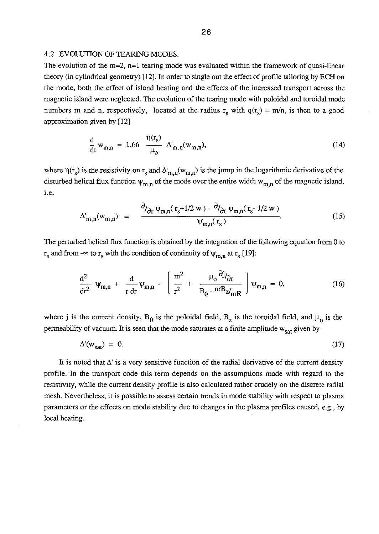#### 4.2 EVOLUTION OF TEARING MODES.

The evolution of the  $m=2$ ,  $n=1$  tearing mode was evaluated within the framework of quasi-linear theory (in cylindrical geometry) (12]. In order to single out the effect of profile tailoring by ECH on the mode, both the effect of island heating and the effects of the increased transport across the magnetic island were neglected. The evolution of the tearing mode with poloidal and toroidal mode numbers m and n, respectively, located at the radius  $r_s$  with  $q(r_s) = m/n$ , is then to a good approximation given by (12]

$$
\frac{\mathrm{d}}{\mathrm{d}t} \mathbf{w}_{\mathbf{m},\mathbf{n}} = 1.66 \frac{\eta(\mathbf{r}_{\mathbf{s}})}{\mu_{\mathbf{o}}} \Delta_{\mathbf{m},\mathbf{n}}'(\mathbf{w}_{\mathbf{m},\mathbf{n}}),\tag{14}
$$

where  $\eta(r_s)$  is the resistivity on  $r_s$  and  $\Delta_{m,n}(w_{m,n})$  is the jump in the logarithmic derivative of the disturbed helical flux function  $\psi_{m,n}$  of the mode over the entire width  $w_{m,n}$  of the magnetic island, i.e.

$$
\Delta'_{m,n}(w_{m,n}) = \frac{\partial_{\partial r} \psi_{m,n}(r_s + 1/2 \, w) - \partial_{\partial r} \psi_{m,n}(r_s - 1/2 \, w)}{\psi_{m,n}(r_s)}.
$$
\n(15)

The perturbed helical flux function is obtained by the integration of the following equation from 0 to  $r_s$  and from - $\infty$  to  $r_s$  with the condition of continuity of  $\psi_{m,n}$  at  $r_s$  [19]:

$$
\frac{d^2}{dr^2} \Psi_{m,n} + \frac{d}{r dr} \Psi_{m,n} - \left( \frac{m^2}{r^2} + \frac{\mu_0}{B_{\theta} - n r B_{z/mR}} \right) \Psi_{m,n} = 0, \qquad (16)
$$

where j is the current density,  $B_{\theta}$  is the poloidal field,  $B_{\phi}$  is the toroidal field, and  $\mu_0$  is the permeability of vacuum. It is seen that the mode saturates at a finite amplitude  $w_{sat}$  given by

$$
\Delta'(\mathbf{w}_{\text{sat}}) = 0. \tag{17}
$$

It is noted that  $\Delta'$  is a very sensitive function of the radial derivative of the current density profile. In the transport code this term depends on the assumptions made with regard to the resistivity, while the current density profile is also calculated rather crudely on the discrete radial mesh. Nevertheless, it is possible to assess certain trends in mode stability with respect to plasma parameters or the effects on mode stability due to changes in the plasma profiles caused, e.g., by local heating.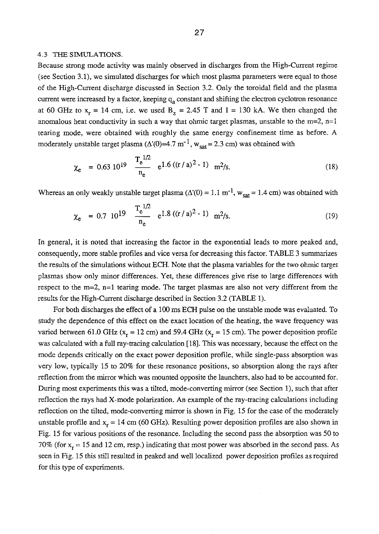#### 4.3 THESIMULATIONS.

Because strong mode activity was mainly observed in discharges from the High-Current regime (see Section 3.1), we simulated discharges for which most plasma parameters were equal to those of the High-Current discharge discussed in Section 3.2. Only the toroidal field and the plasma current were increased by a factor, keeping  $q_a$  constant and shifting the electron cyclotron resonance at 60 GHz to  $x_r = 14$  cm, i.e. we used  $B_z = 2.45$  T and I = 130 kA. We then changed the anomalous heat conductivity in such a way that ohmic target plasmas, unstable to the  $m=2$ ,  $n=1$ tearing mode, were obtained with roughly the same energy confinement time as before. A moderately unstable target plasma ( $\Delta'(0)=4.7$  m<sup>-1</sup>, w<sub>sat</sub> = 2.3 cm) was obtained with

$$
\chi_{\rm e} = 0.63 \; 10^{19} \; \frac{\rm T_{\rm e}^{1/2}}{\rm n_{\rm e}} \; \rm e^{1.6 \; ((r/a)^2 - 1)} \; \rm m^2/s. \tag{18}
$$

Whereas an only weakly unstable target plasma ( $\Delta'(0) = 1.1 \text{ m}^{-1}$ ,  $w_{sat} = 1.4 \text{ cm}$ ) was obtained with

$$
\chi_{\rm e} = 0.7 \ 10^{19} \ \frac{\rm T_{\rm e}^{1/2}}{\rm n_{\rm e}} \ \rm e^{1.8 \ ((r/a)^2 - 1)} \ \rm m^2/s. \tag{19}
$$

In general, it is noted that increasing the factor in the exponential leads to more peaked and, consequently, more stable profiles and vice versa for decreasing this factor. TABLE 3 summarizes the results of the simulations without ECH. Note that the plasma variables for the two ohmic target plasmas show only minor differences. Yet, these differences give rise to large differences with respect to the m=2, n=l tearing mode. The target plasmas are also not very different from the results for the High-Current discharge described in Section 3.2 (TABLE 1).

For both discharges the effect of a 100 ms ECH pulse on the unstable mode was evaluated. To study the dependence of this effect on the exact location of the heating, the wave frequency was varied between 61.0 GHz ( $x_r = 12$  cm) and 59.4 GHz ( $x_r = 15$  cm). The power deposition profile was calculated with a full ray-tracing calculation [18]. This was necessary, because the effect on the mode depends critically on the exact power deposition profile, while single-pass absorption was very low, typically 15 to 20% for these resonance positions, so absorption along the rays after reflection from the mirror which was mounted opposite the launchers, also had to be accounted for. During most experiments this was a tilted, mode-converting mirror (see Section 1), such that after reflection the rays had X-mode polarization. An example of the ray-tracing calculations including reflection on the tilted, mode-converting mirror is shown in Fig. 15 for the case of the moderately unstable profile and  $x_r = 14$  cm (60 GHz). Resulting power deposition profiles are also shown in Fig. 15 for various positions of the resonance. Including the second pass the absorption was 50 to 70% (for  $x_r = 15$  and 12 cm, resp.) indicating that most power was absorbed in the second pass. As seen in Fig. 15 this still resulted in peaked and well localized power deposition profiles as required for this type of experiments.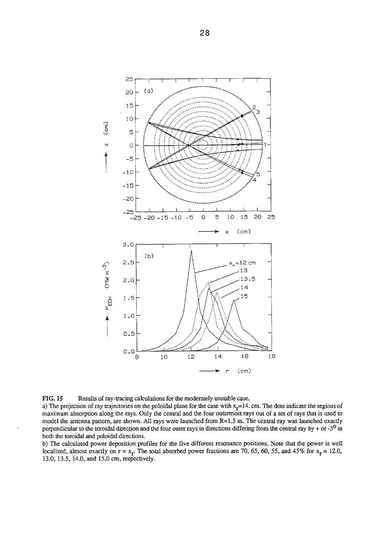

**FIG.15** Results of ray-tracing calculations for the moderately unstable case.

a) The projection of ray trajectories on the poloidal plane for the case with  $x<sub>r</sub>=14$ . cm. The dots indicate the regions of maximum absorption along the rays. Only the central and the four outermost rays out of a set of rays that is used to model the antenna pattern, are shown. All rays were launched from R=l.5 m. The central ray was launched exactly perpendicular to the toroidal direction and the four outer rays in directions differing from the central ray by + or  $-3<sup>o</sup>$  in both the toroidal and poloidal directions.

b) The calculated power deposition profiles for the five different resonance positions. Note that the power is well localized, almost exactly on  $r = x_r$ . The total absorbed power fractions are 70, 65, 60, 55, and 45% for  $x_r = 12.0$ , 13.0, 13.5, 14.0, and 15.0 cm, respectively.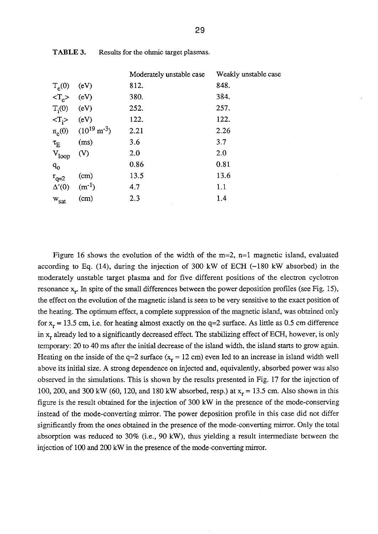|                |                                     | Moderately unstable case | Weakly unstable case |
|----------------|-------------------------------------|--------------------------|----------------------|
| $T_e(0)$       | (eV)                                | 812.                     | 848.                 |
| $(T_e$         | (eV)                                | 380.                     | 384.                 |
| $T_i(0)$       | (eV)                                | 252.                     | 257.                 |
| $-T_i$         | (eV)                                | 122.                     | 122.                 |
|                | $n_e(0)$ $(10^{19} \text{ m}^{-3})$ | 2.21                     | 2.26                 |
| $\tau_{\rm E}$ | (ms)                                | 3.6                      | 3.7                  |
| $V_{loop}$     | (V)                                 | 2.0                      | 2.0                  |
| $q_{o}$        |                                     | 0.86                     | 0.81                 |
| $r_{q=2}$      | (cm)                                | 13.5                     | 13.6                 |
| $\Delta'(0)$   | $(m^{-1})$                          | 4.7                      | 1.1                  |
| $w_{sat}$      | (cm)                                | 2.3                      | 1.4                  |

**TABLE3.** Results for the ohmic target plasmas.

Figure 16 shows the evolution of the width of the  $m=2$ ,  $n=1$  magnetic island, evaluated according to Eq.  $(14)$ , during the injection of 300 kW of ECH  $(-180 \text{ kW}$  absorbed) in the moderately unstable target plasma and for five different positions of the electron cyclotron resonance x<sub>r</sub>. In spite of the small differences between the power deposition profiles (see Fig. 15), the effect on the evolution of the magnetic island is seen to be very sensitive to the exact position of the heating. The optimum effect, a complete suppression of the magnetic island, was obtained only for  $x_r = 13.5$  cm, i.e. for heating almost exactly on the q=2 surface. As little as 0.5 cm difference in  $x_r$  already led to a significantly decreased effect. The stabilizing effect of ECH, however, is only temporary: 20 to 40 ms after the initial decrease of the island width, the island starts to grow again. Heating on the inside of the  $q=2$  surface ( $x_r = 12$  cm) even led to an increase in island width well above its initial size. A strong dependence on injected and, equivalently, absorbed power was also observed in the simulations. This is shown by the results presented in Fig. 17 for the injection of 100, 200, and 300 kW (60, 120, and 180 kW absorbed, resp.) at  $x_r = 13.5$  cm. Also shown in this figure is the result obtained for the injection of 300 kW in the presence of the mode-conserving instead of the mode-converting mirror. The power deposition profile in this case did not differ significantly from the ones obtained in the presence of the mode-converting mirror. Only the total absorption was reduced to 30% (i.e., 90 kW), thus yielding a result intermediate between the injection of 100 and 200 kW in the presence of the mode-converting mirror.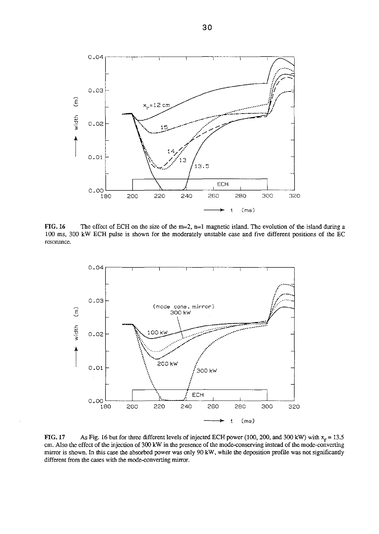

FIG. 16 The effect of ECH on the size of the m=2, n=1 magnetic island. The evolution of the island during a 100 ms, 300 kW ECH pulse is shown for the moderately unstable case and five different positions of the EC **resonance.** 



FIG. 17 As Fig. 16 but for three different levels of injected ECH power (100, 200, and 300 kW) with  $x_r = 13.5$ cm. Also the effect of the injection of 300 kW in the presence of the mode-conserving instead of the mode-converting mirror is shown. In this case the absorbed power was only 90 kW, while the deposition profile was not significantly different from the cases with the mode-converting mirror.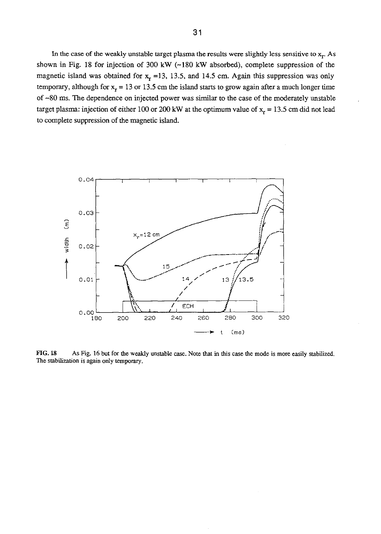In the case of the weakly unstable target plasma the results were slightly less sensitive to  $x_r$ . As shown in Fig. 18 for injection of 300 kW (~180 kW absorbed), complete suppression of the magnetic island was obtained for  $x_r = 13$ , 13.5, and 14.5 cm. Again this suppression was only temporary, although for  $x_r = 13$  or 13.5 cm the island starts to grow again after a much longer time of -80 ms. The dependence on injected power was similar to the case of the moderately unstable target plasma: injection of either 100 or 200 kW at the optimum value of  $x_r = 13.5$  cm did not lead to complete suppression of the magnetic island.



**F1G. 18** As Fig. 16 but for the weakly unstable case. Note that in this case the mode is more easily stabilized. The stabilization is again only temporary.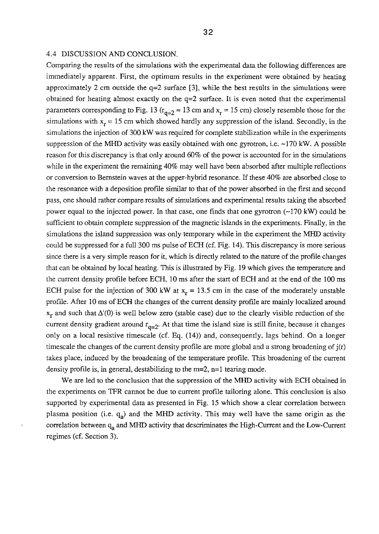#### 4.4 DISCUSSION AND CONCLUSION.

Comparing the results of the simulations with the experimental data the following differences are immediately apparent. First, the optimum results in the experiment were obtained by heating approximately 2 cm outside the q=2 surface [3], while the best results in the simulations were obtained for heating almost exactly on the q=2 surface. It is even noted that the experimental parameters corresponding to Fig. 13 ( $r_{q=2} \approx 13$  cm and  $x_r = 15$  cm) closely resemble those for the simulations with  $x_r = 15$  cm which showed hardly any suppression of the island. Secondly, in the simulations the injection of 300 kW was required for complete stabilization while in the experiments suppression of the MHD activity was easily obtained with one gyrotron, i.e.  $\sim$ 170 kW. A possible reason for this discrepancy is that only around  $60\%$  of the power is accounted for in the simulations while in the experiment the remaining 40% may well have been absorbed after multiple reflections or conversion to Bernstein waves at the upper-hybrid resonance. If these 40% are absorbed close to the resonance with a deposition profile similar to that of the power absorbed in the first and second pass, one should rather compare results of simulations and experimental results taking the absorbed power equal to the injected power. In that case, one finds that one gyrotron  $(-170 \text{ kW})$  could be sufficient to obtain complete suppression of the magnetic islands in the experiments. Finally, in the simulations the island suppression was only temporary while in the experiment the MHD activity could be suppressed for a full 300 ms pulse of ECH (cf. Fig. 14 ). This discrepancy is more serious since there is a very simple reason for it, which is directly related to the nature of the profile changes that can be obtained by local heating. This is illustrated by Fig. 19 which gives the temperature and the current density profile before ECH, 10 ms after the start of ECH and at the end of the 100 ms ECH pulse for the injection of 300 kW at  $x_r = 13.5$  cm in the case of the moderately unstable profile. After 10 ms of ECH the changes of the current density profile are mainly localized around  $x_r$  and such that  $\Delta'(0)$  is well below zero (stable case) due to the clearly visible reduction of the current density gradient around  $r_{q=2}$ . At that time the island size is still finite, because it changes only on a local resistive timescale (cf. Eq. (14)) and, consequently, lags behind. On a longer timescale the changes of the current density profile are more global and a strong broadening of j(r) takes place, induced by the broadening of the temperature profile. This broadening of the current density profile is, in general, destabilizing to the  $m=2$ ,  $n=1$  tearing mode.

We are led to the conclusion that the suppression of the MHD activity with ECH obtained in the experiments on TFR cannot be due to current profile tailoring alone. This conclusion is also supported by experimental data as presented in Fig. 15 which show a clear correlation between plasma position (i.e.  $q_a$ ) and the MHD activity. This may well have the same origin as the correlation between  $q_a$  and MHD activity that descriminates the High-Current and the Low-Current regimes (cf. Section 3).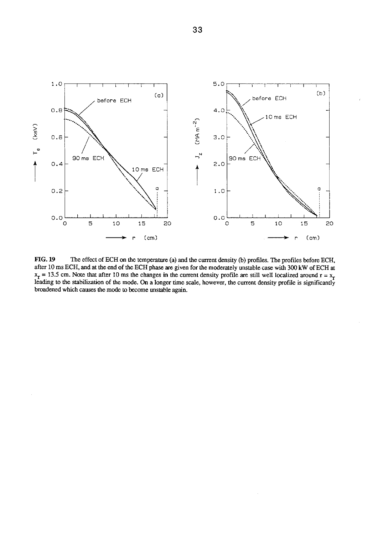

F1G. 19 The effect of ECH on the temperature (a) and the current density (b) profiles. The profiles before ECH, after 10 ms ECH, and at the end of the ECH phase are given for the moderately unstable case with 300 kW of ECH at  $x_r = 13.5$  cm. Note that after 10 ms the changes in the current density profile are still well localized around  $r = x_r$ leading to the stabilization of the mode. On a longer time scale, however, the current density profile is significantly broadened which causes the mode to become unstable again.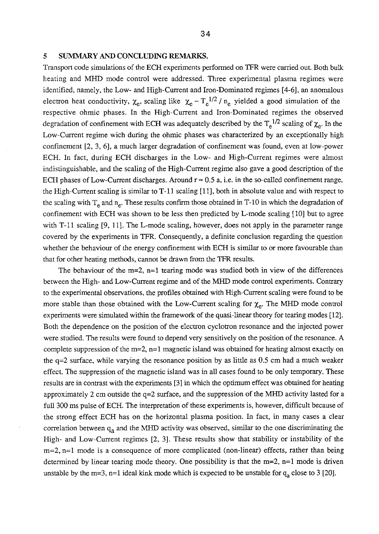#### **5 SUMMARY AND CONCLUDING REMARKS.**

Transport code simulations of the ECH experiments performed on TFR were carried out. Both bulk heating and MHD mode control were addressed. Three experimental plasma regimes were identified, namely, the Low- and High-Current and Iron-Dominated regimes [4-6], an anomalous electron heat conductivity,  $\chi_e$ , scaling like  $\chi_e \sim T_e^{1/2}/n_e$  yielded a good simulation of the respective ohmic phases. In the High-Current and Iron-Dominated regimes the observed degradation of confinement with ECH was adequately described by the  $T_e^{1/2}$  scaling of  $\chi_e$ . In the Low-Current regime wich during the ohmic phases was characterized by an exceptionally high confinement [2, 3, 6], a much larger degradation of confinement was found, even at low-power ECH. In fact, during ECH discharges in the Low- and High-Current regimes were almost indistinguishable, and the scaling of the High-Current regime also gave a good description of the ECH phases of Low-Current discharges. Around  $r \approx 0.5$  a, i.e. in the so-called confinement range, the High-Current scaling is similar to T-11 scaling [11], both in absolute value and with respect to the scaling with  $T_e$  and  $n_e$ . These results confirm those obtained in T-10 in which the degradation of confinement with ECH was shown to be less then predicted by L-mode scaling [10] but to agree with T-11 scaling [9, 11]. The L-mode scaling, however, does not apply in the parameter range covered by the experiments in TFR. Consequently, a definite conclusion regarding the question whether the behaviour of the energy confinement with ECH is similar to or more favourable than that for other heating methods, cannot be drawn from the TFR results.

The behaviour of the m=2, n=1 tearing mode was studied both in view of the differences between the High- and Low-Current regime and of the MHD mode control experiments. Contrary to the experimental observations, the profiles obtained with High-Current scaling were found to be more stable than those obtained with the Low-Current scaling for  $\chi_e$ . The MHD mode control experiments were simulated within the framework of the quasi-linear theory for tearing modes [12]. Both the dependence on the position of the electron cyclotron resonance and the injected power were studied. The results were found to depend very sensitively on the position of the resonance. A complete suppression of the m=2, n=1 magnetic island was obtained for heating almost exactly on the q=2 surface, while varying the resonance position by as little as 0.5 cm had a much weaker effect. The suppression of the magnetic island was in all cases found to be only temporary. These results are in contrast with the experiments [3] in which the optimum effect was obtained for heating approximately 2 cm outside the q=2 surface, and the suppression of the MHD activity lasted for a full 300 ms pulse of ECH. The interpretation of these experiments is, however, difficult because of the strong effect ECH has on the horizontal plasma position. In fact, in many cases a clear correlation between  $q_a$  and the MHD activity was observed, similar to the one discriminating the High- and Low-Current regimes [2, 3]. These results show that stability or instability of the m=2, n=l mode is a consequence of more complicated (non-linear) effects, rather than being determined by linear tearing mode theory. One possibility is that the  $m=2$ ,  $n=1$  mode is driven unstable by the m=3, n=1 ideal kink mode which is expected to be unstable for  $q_a$  close to 3 [20].